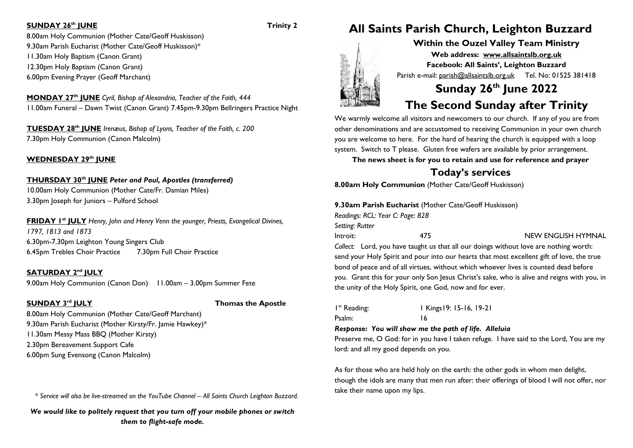### **SUNDAY 26th JUNE Trinity 2**

8.00am Holy Communion (Mother Cate/Geoff Huskisson) 9.30am Parish Eucharist (Mother Cate/Geoff Huskisson)\* 11.30am Holy Baptism (Canon Grant) 12.30pm Holy Baptism (Canon Grant) 6.00pm Evening Prayer (Geoff Marchant)

**MONDAY 27 th JUNE** *Cyril, Bishop of Alexandria, Teacher of the Faith, 444* 11.00am Funeral – Dawn Twist (Canon Grant) 7.45pm-9.30pm Bellringers Practice Night

**TUESDAY 28 th JUNE** *Irenæus, Bishop of Lyons, Teacher of the Faith, c. 200* 7.30pm Holy Communion (Canon Malcolm)

**WEDNESDAY 29 th JUNE**

### **THURSDAY 30th JUNE** *Peter and Paul, Apostles (transferred)*

10.00am Holy Communion (Mother Cate/Fr. Damian Miles) 3.30pm Joseph for Juniors – Pulford School

**FRIDAY 1 st JULY** *Henry, John and Henry Venn the younger, Priests, Evangelical Divines, 1797, 1813 and 1873* 6.30pm-7.30pm Leighton Young Singers Club 6.45pm Trebles Choir Practice 7.30pm Full Choir Practice

**SATURDAY 2 nd JULY**

9.00am Holy Communion (Canon Don) 11.00am – 3.00pm Summer Fete

### **SUNDAY 3rd JULY**

**Thomas the Apostle** 

8.00am Holy Communion (Mother Cate/Geoff Marchant) 9.30am Parish Eucharist (Mother Kirsty/Fr. Jamie Hawkey)\* 11.30am Messy Mass BBQ (Mother Kirsty) 2.30pm Bereavement Support Cafe 6.00pm Sung Evensong (Canon Malcolm)

*\* Service will also be live-streamed on the YouTube Channel – All Saints Church Leighton Buzzard.*

*We would like to politely request that you turn off your mobile phones or switch them to flight-safe mode.*

# **All Saints Parish Church, Leighton Buzzard**

**Within the Ouzel Valley Team Ministry Web address: [www.allsaintslb.org.uk](http://www.allsaintslb.org.uk/) Facebook: All Saints', Leighton Buzzard** Parish e-mail: parish@allsaintslb.org.uk Tel. No: 01525 381418

# **Sunday 26th June 2022**

## **The Second Sunday after Trinity**

We warmly welcome all visitors and newcomers to our church. If any of you are from other denominations and are accustomed to receiving Communion in your own church you are welcome to here. For the hard of hearing the church is equipped with a loop system. Switch to T please. Gluten free wafers are available by prior arrangement.

**The news sheet is for you to retain and use for reference and prayer**

### **Today's services**

**8.00am Holy Communion** (Mother Cate/Geoff Huskisson)

### **9.30am Parish Eucharist** (Mother Cate/Geoff Huskisson)

*Readings: RCL: Year C: Page: 828*

2000年10月

*Setting: Rutter*

Introit: 475 NEW ENGLISH HYMNAL

*Collect:* Lord, you have taught us that all our doings without love are nothing worth: send your Holy Spirit and pour into our hearts that most excellent gift of love, the true bond of peace and of all virtues, without which whoever lives is counted dead before you. Grant this for your only Son Jesus Christ's sake, who is alive and reigns with you, in the unity of the Holy Spirit, one God, now and for ever.

I<sup>st</sup> Reading: st Reading: 1 Kings19: 15-16, 19-21 Psalm: 16

### *Response: You will show me the path of life. Alleluia*

Preserve me, O God: for in you have I taken refuge. I have said to the Lord, You are my lord: and all my good depends on you.

As for those who are held holy on the earth: the other gods in whom men delight, though the idols are many that men run after: their offerings of blood I will not offer, nor take their name upon my lips.